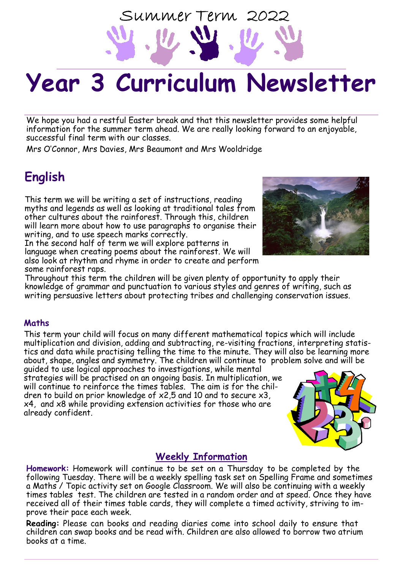# **Year 3 Curriculum Newsletter**

Summer Term 2022

We hope you had a restful Easter break and that this newsletter provides some helpful information for the summer term ahead. We are really looking forward to an enjoyable, successful final term with our classes.

Mrs O'Connor, Mrs Davies, Mrs Beaumont and Mrs Wooldridge

## **English**

This term we will be writing a set of instructions, reading myths and legends as well as looking at traditional tales from other cultures about the rainforest. Through this, children will learn more about how to use paragraphs to organise their writing, and to use speech marks correctly.

In the second half of term we will explore patterns in language when creating poems about the rainforest. We will also look at rhythm and rhyme in order to create and perform some rainforest raps.



Throughout this term the children will be given plenty of opportunity to apply their knowledge of grammar and punctuation to various styles and genres of writing, such as writing persuasive letters about protecting tribes and challenging conservation issues.

#### **Maths**

This term your child will focus on many different mathematical topics which will include multiplication and division, adding and subtracting, re-visiting fractions, interpreting statistics and data while practising telling the time to the minute. They will also be learning more about, shape, angles and symmetry. The children will continue to problem solve and will be

guided to use logical approaches to investigations, while mental strategies will be practised on an ongoing basis. In multiplication, we will continue to reinforce the times tables. The aim is for the children to build on prior knowledge of x2,5 and 10 and to secure x3, x4, and x8 while providing extension activities for those who are already confident.

### **Weekly Information**

**Homework:** Homework will continue to be set on a Thursday to be completed by the following Tuesday. There will be a weekly spelling task set on Spelling Frame and sometimes a Maths / Topic activity set on Google Classroom. We will also be continuing with a weekly times tables test. The children are tested in a random order and at speed. Once they have received all of their times table cards, they will complete a timed activity, striving to improve their pace each week.

**Reading:** Please can books and reading diaries come into school daily to ensure that children can swap books and be read with. Children are also allowed to borrow two atrium books at a time.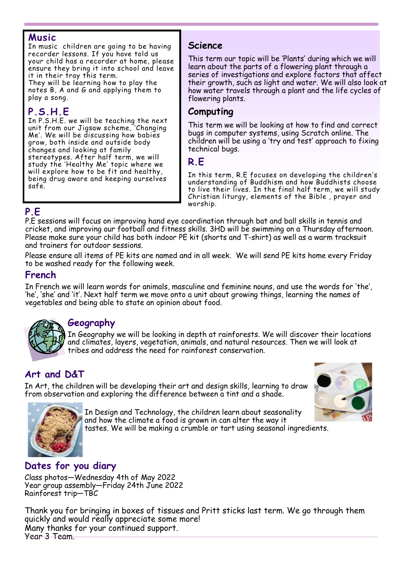#### **Music**

In music children are going to be having recorder lessons. If you have told us your child has a recorder at home, please ensure they bring it into school and leave it in their tray this term.

They will be learning how to play the notes B, A and G and applying them to play a song.

### **P.S.H.E**

In P.S.H.E. we will be teaching the next unit from our Jigsaw scheme, 'Changing Me'. We will be discussing how babies grow, both inside and outside body changes and looking at family stereotypes. After half term, we will study the 'Healthy Me' topic where we will explore how to be fit and healthy, being drug aware and keeping ourselves safe.

#### **Science**

This term our topic will be 'Plants' during which we will learn about the parts of a flowering plant through a series of investigations and explore factors that affect their growth, such as light and water. We will also look at how water travels through a plant and the life cycles of flowering plants.

#### **Computing**

This term we will be looking at how to find and correct bugs in computer systems, using Scratch online. The children will be using a 'try and test' approach to fixing technical bugs.

#### **R.E**

In this term, R.E focuses on developing the children's understanding of Buddhism and how Buddhists choose to live their lives. In the final half term, we will study Christian liturgy, elements of the Bible , prayer and worship.

#### **P.E**

P.E sessions will focus on improving hand eye coordination through bat and ball skills in tennis and cricket, and improving our football and fitness skills. 3HD will be swimming on a Thursday afternoon. Please make sure your child has both indoor PE kit (shorts and T-shirt) as well as a warm tracksuit and trainers for outdoor sessions.

Please ensure all items of PE kits are named and in all week. We will send PE kits home every Friday to be washed ready for the following week.

#### **French**

In French we will learn words for animals, masculine and feminine nouns, and use the words for 'the', 'he', 'she' and 'it'. Next half term we move onto a unit about growing things, learning the names of vegetables and being able to state an opinion about food.

#### **Geography**

In Geography we will be looking in depth at rainforests. We will discover their locations and climates, layers, vegetation, animals, and natural resources. Then we will look at tribes and address the need for rainforest conservation.

### **Art and D&T**

In Art, the children will be developing their art and design skills, learning to draw from observation and exploring the difference between a tint and a shade.





In Design and Technology, the children learn about seasonality and how the climate a food is grown in can alter the way it tastes. We will be making a crumble or tart using seasonal ingredients.

### **Dates for you diary**

Class photos—Wednesday 4th of May 2022 Year group assembly—Friday 24th June 2022 Rainforest trip—TBC

Thank you for bringing in boxes of tissues and Pritt sticks last term. We go through them quickly and would really appreciate some more! Many thanks for your continued support. Year 3 Team.